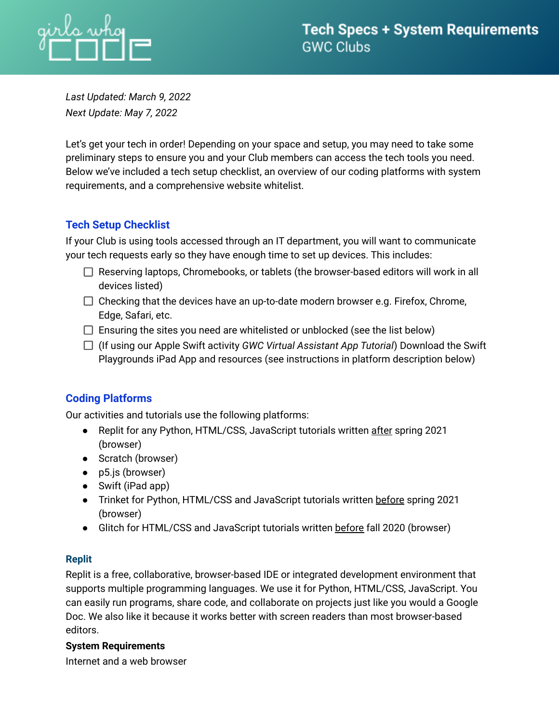

*Last Updated: March 9, 2022 Next Update: May 7, 2022*

Let's get your tech in order! Depending on your space and setup, you may need to take some preliminary steps to ensure you and your Club members can access the tech tools you need. Below we've included a tech setup checklist, an overview of our coding platforms with system requirements, and a comprehensive website whitelist.

# **Tech Setup Checklist**

If your Club is using tools accessed through an IT department, you will want to communicate your tech requests early so they have enough time to set up devices. This includes:

- $\Box$  Reserving laptops, Chromebooks, or tablets (the browser-based editors will work in all devices listed)
- $\Box$  Checking that the devices have an up-to-date modern browser e.g. Firefox, Chrome, Edge, Safari, etc.
- $\Box$  Ensuring the sites you need are whitelisted or unblocked (see the list below)
- (If using our Apple Swift activity *GWC Virtual Assistant App Tutorial*) Download the Swift Playgrounds iPad App and resources (see instructions in platform description below)

# **Coding Platforms**

Our activities and tutorials use the following platforms:

- Replit for any Python, HTML/CSS, JavaScript tutorials written after spring 2021 (browser)
- Scratch (browser)
- p5.js (browser)
- Swift (iPad app)
- Trinket for Python, HTML/CSS and JavaScript tutorials written before spring 2021 (browser)
- Glitch for HTML/CSS and JavaScript tutorials written before fall 2020 (browser)

# **Replit**

Replit is a free, collaborative, browser-based IDE or integrated development environment that supports multiple programming languages. We use it for Python, HTML/CSS, JavaScript. You can easily run programs, share code, and collaborate on projects just like you would a Google Doc. We also like it because it works better with screen readers than most browser-based editors.

# **System Requirements**

Internet and a web browser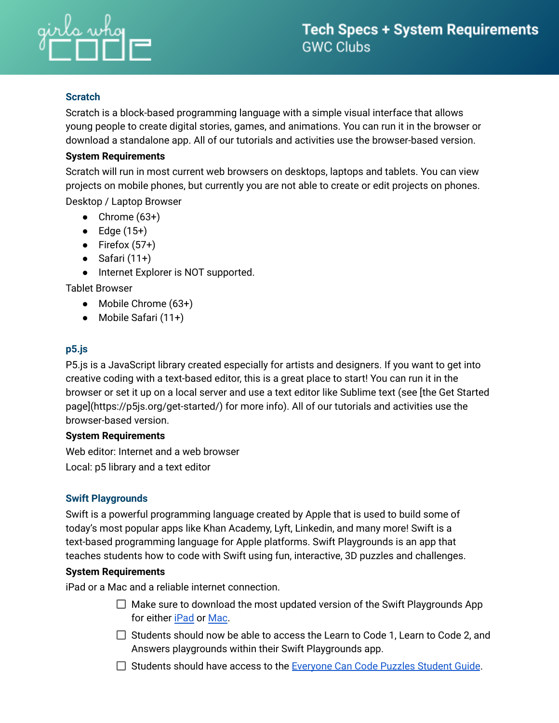

# **Scratch**

Scratch is a block-based programming language with a simple visual interface that allows young people to create digital stories, games, and animations. You can run it in the browser or download a standalone app. All of our tutorials and activities use the browser-based version.

#### **System Requirements**

Scratch will run in most current web browsers on desktops, laptops and tablets. You can view projects on mobile phones, but currently you are not able to create or edit projects on phones. Desktop / Laptop Browser

- Chrome  $(63+)$
- $\bullet$  Edge (15+)
- Firefox  $(57+)$
- $\bullet$  Safari (11+)
- Internet Explorer is NOT supported.

Tablet Browser

- Mobile Chrome (63+)
- Mobile Safari (11+)

# **p5.js**

P5.js is a JavaScript library created especially for artists and designers. If you want to get into creative coding with a text-based editor, this is a great place to start! You can run it in the browser or set it up on a local server and use a text editor like Sublime text (see [the Get Started page](https://p5js.org/get-started/) for more info). All of our tutorials and activities use the browser-based version.

#### **System Requirements**

Web editor: Internet and a web browser Local: p5 library and a text editor

# **Swift Playgrounds**

Swift is a powerful programming language created by Apple that is used to build some of today's most popular apps like Khan Academy, Lyft, Linkedin, and many more! Swift is a text-based programming language for Apple platforms. Swift Playgrounds is an app that teaches students how to code with Swift using fun, interactive, 3D puzzles and challenges.

# **System Requirements**

iPad or a Mac and a reliable internet connection.

- $\Box$  Make sure to download the most updated version of the Swift Playgrounds App for either [iPad](https://apps.apple.com/us/app/swift-playgrounds/id908519492) or [Mac](https://apps.apple.com/us/app/swift-playgrounds/id1496833156?mt=12).
- $\Box$  Students should now be able to access the Learn to Code 1, Learn to Code 2, and Answers playgrounds within their Swift Playgrounds app.
- □ Students should have access to the [Everyone](https://books.apple.com/book/id1481279769) Can Code Puzzles Student Guide.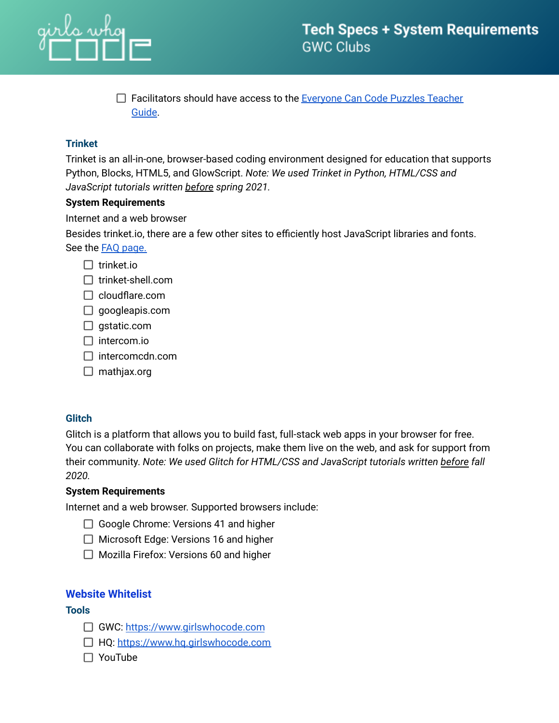

 $\Box$  Facilitators should have access to the [Everyone](https://books.apple.com/us/book/everyone-can-code-puzzles-teacher-guide/id1481279144) Can Code Puzzles Teacher [Guide](https://books.apple.com/us/book/everyone-can-code-puzzles-teacher-guide/id1481279144).

# **Trinket**

Trinket is an all-in-one, browser-based coding environment designed for education that supports Python, Blocks, HTML5, and GlowScript. *Note: We used Trinket in Python, HTML/CSS and JavaScript tutorials written before spring 2021.*

#### **System Requirements**

Internet and a web browser

Besides trinket.io, there are a few other sites to efficiently host JavaScript libraries and fonts. See the FAQ [page.](https://trinket.io/faq)

- $\Box$  trinket.io
- $\Box$  trinket-shell.com
- $\Box$  cloudflare.com
- $\Box$  googleapis.com
- $\Box$  gstatic.com
- $\Box$  intercom.io
- $\Box$  intercomcdn.com
- $\Box$  mathjax.org

# **Glitch**

Glitch is a platform that allows you to build fast, full-stack web apps in your browser for free. You can collaborate with folks on projects, make them live on the web, and ask for support from their community. *Note: We used Glitch for HTML/CSS and JavaScript tutorials written before fall 2020.*

#### **System Requirements**

Internet and a web browser. Supported browsers include:

- $\Box$  Google Chrome: Versions 41 and higher
- $\Box$  Microsoft Edge: Versions 16 and higher
- $\Box$  Mozilla Firefox: Versions 60 and higher

# **Website Whitelist**

#### **Tools**

- GWC: <https://www.girlswhocode.com>
- □ HQ: <https://www.hq.girlswhocode.com>
- □ YouTube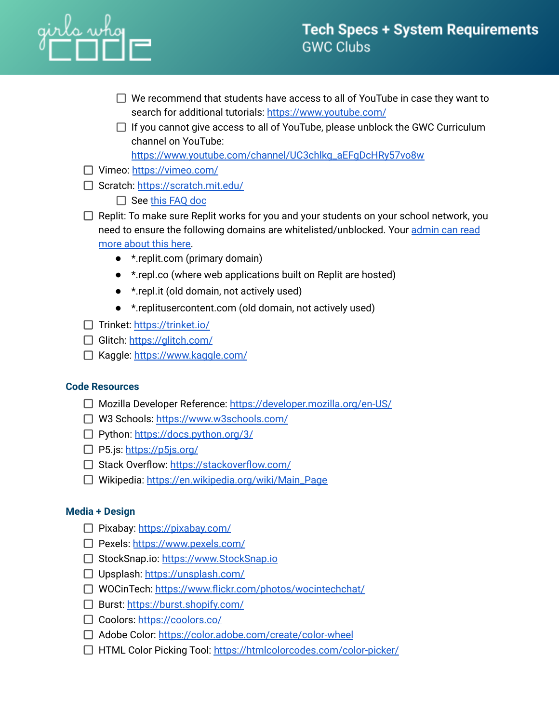# irls who<br>I I I I I

- $\Box$  We recommend that students have access to all of YouTube in case they want to search for additional tutorials: <https://www.youtube.com/>
- $\Box$  If you cannot give access to all of YouTube, please unblock the GWC Curriculum channel on YouTube:

[https://www.youtube.com/channel/UC3chlkg\\_aEFgDcHRy57vo8w](https://www.youtube.com/channel/UC3chlkg_aEFgDcHRy57vo8w)

- □ Vimeo: <https://vimeo.com/>
- Scratch: <https://scratch.mit.edu/>
	- $\Box$  See this [FAQ](https://scratch.mit.edu/faq) doc
- $\Box$  Replit: To make sure Replit works for you and your students on your school network, you need to ensure the following domains are whitelisted/unblocked. Your [admin](https://docs.replit.com/teams-edu/it-administrators-toolkit) can read more [about](https://docs.replit.com/teams-edu/it-administrators-toolkit) this here.
	- \*.replit.com (primary domain)
	- \*.repl.co (where web applications built on Replit are hosted)
	- \*.repl.it (old domain, not actively used)
	- \*.replitusercontent.com (old domain, not actively used)
- $\Box$  Trinket: <https://trinket.io/>
- Glitch: <https://glitch.com/>
- □ Kaggle: <https://www.kaggle.com/>

# **Code Resources**

- □ Mozilla Developer Reference: <https://developer.mozilla.org/en-US/>
- W3 Schools: <https://www.w3schools.com/>
- □ Python: <https://docs.python.org/3/>
- $\Box$  P5.js: <https://p5js.org/>
- □ Stack Overflow: <https://stackoverflow.com/>
- □ Wikipedia: [https://en.wikipedia.org/wiki/Main\\_Page](https://en.wikipedia.org/wiki/Main_Page)

# **Media + Design**

- □ Pixabay: <https://pixabay.com/>
- Pexels: <https://www.pexels.com/>
- □ StockSnap.io: [https://www.StockSnap.io](https://www.stocksnap.io)
- □ Upsplash: <https://unsplash.com/>
- □ WOCinTech: <https://www.flickr.com/photos/wocintechchat/>
- $\Box$  Burst: <https://burst.shopify.com/>
- □ Coolors: <https://coolors.co/>
- Adobe Color: <https://color.adobe.com/create/color-wheel>
- □ HTML Color Picking Tool: <https://htmlcolorcodes.com/color-picker/>